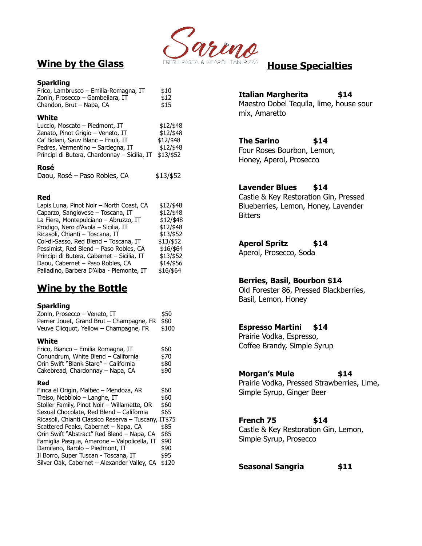

# **Wine by the Glass**

#### **Sparkling**

| Frico, Lambrusco - Emilia-Romagna, IT | \$10 |
|---------------------------------------|------|
| Zonin, Prosecco – Gambeliara, IT      | \$12 |
| Chandon, Brut - Napa, CA              | \$15 |

#### **White**

| Luccio, Moscato – Piedmont, IT               | $$12/$ \$48 |
|----------------------------------------------|-------------|
| Zenato, Pinot Grigio – Veneto, IT            | \$12/\$48   |
| Ca' Bolani, Sauv Blanc - Friuli, IT          | \$12/\$48   |
| Pedres, Vermentino – Sardegna, IT            | \$12/\$48   |
| Principi di Butera, Chardonnay - Sicilia, IT | \$13/\$52   |

#### **Rosé**

| Daou, Rosé - Paso Robles, CA | \$13/\$52 |
|------------------------------|-----------|
|------------------------------|-----------|

### **Red**

| Lapis Luna, Pinot Noir - North Coast, CA   | \$12/\$48 |
|--------------------------------------------|-----------|
| Caparzo, Sangiovese - Toscana, IT          | \$12/\$48 |
| La Fiera, Montepulciano - Abruzzo, IT      | \$12/\$48 |
| Prodigo, Nero d'Avola - Sicilia, IT        | \$12/\$48 |
| Ricasoli, Chianti - Toscana, IT            | \$13/\$52 |
| Col-di-Sasso, Red Blend - Toscana, IT      | \$13/\$52 |
| Pessimist, Red Blend - Paso Robles, CA     | \$16/\$64 |
| Principi di Butera, Cabernet - Sicilia, IT | \$13/\$52 |
| Daou, Cabernet - Paso Robles, CA           | \$14/\$56 |
| Palladino, Barbera D'Alba - Piemonte, IT   | \$16/\$64 |
|                                            |           |

# **Wine by the Bottle**

#### **Sparkling**

| Zonin, Prosecco – Veneto, IT                   | \$50  |
|------------------------------------------------|-------|
| Perrier Jouet, Grand Brut - Champagne, FR \$80 |       |
| Veuve Clicquot, Yellow - Champagne, FR         | \$100 |

#### **White**

| Frico, Bianco - Emilia Romagna, IT    | \$60 |
|---------------------------------------|------|
| Conundrum, White Blend - California   | \$70 |
| Orin Swift "Blank Stare" - California | \$80 |
| Cakebread, Chardonnay – Napa, CA      | \$90 |

#### **Red**

Finca el Origin, Malbec – Mendoza, AR  $$60$ Treiso, Nebbiolo – Langhe, IT  $$60$ Stoller Family, Pinot Noir – Willamette, OR  $$60$ Sexual Chocolate, Red Blend – California \$65 Ricasoli, Chianti Classico Reserva – Tuscany, IT\$75 Scattered Peaks, Cabernet – Napa, CA  $$85$ Orin Swift "Abstract" Red Blend – Napa, CA \$85 Famiglia Pasqua, Amarone – Valpolicella, IT \$90 Damilano, Barolo – Piedmont, IT  $$90$ Il Borro, Super Tuscan - Toscana, IT  $$95$ Silver Oak, Cabernet – Alexander Valley, CA \$120 **House Specialties**

# **Italian Margherita \$14**

Maestro Dobel Tequila, lime, house sour mix, Amaretto

# **The Sarino \$14**

Four Roses Bourbon, Lemon, Honey, Aperol, Prosecco

### **Lavender Blues \$14**

Castle & Key Restoration Gin, Pressed Blueberries, Lemon, Honey, Lavender **Bitters** 

## **Aperol Spritz \$14**

Aperol, Prosecco, Soda

## **Berries, Basil, Bourbon \$14**

Old Forester 86, Pressed Blackberries, Basil, Lemon, Honey

## **Espresso Martini \$14**

Prairie Vodka, Espresso, Coffee Brandy, Simple Syrup

### **Morgan's Mule \$14**

Prairie Vodka, Pressed Strawberries, Lime, Simple Syrup, Ginger Beer

## **French 75 \$14**

Castle & Key Restoration Gin, Lemon, Simple Syrup, Prosecco

**Seasonal Sangria \$11**